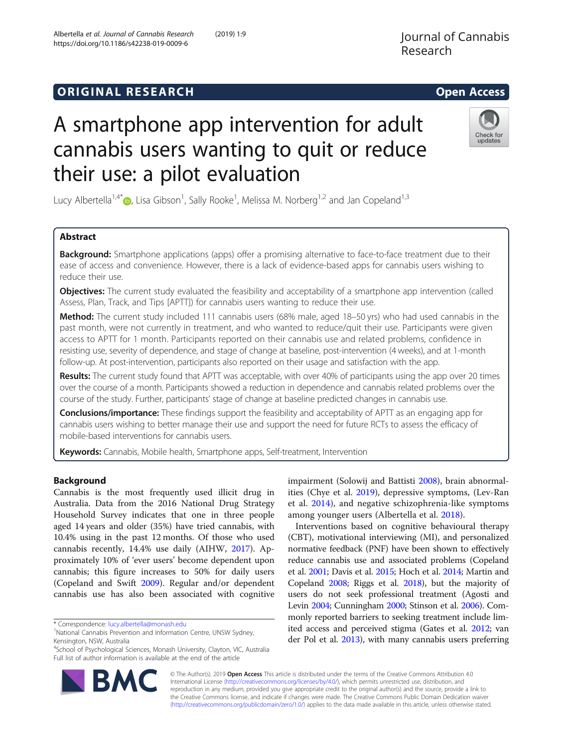# **ORIGINAL RESEARCH CONSERVERS AND ACCESS**

# A smartphone app intervention for adult cannabis users wanting to quit or reduce their use: a pilot evaluation

Lucy Albertella<sup>1[,](http://orcid.org/0000-0001-5232-6414)4\*</sup> $\bullet$ , Lisa Gibson<sup>1</sup>, Sally Rooke<sup>1</sup>, Melissa M. Norberg<sup>1,2</sup> and Jan Copeland<sup>1,3</sup>

## Abstract

**Background:** Smartphone applications (apps) offer a promising alternative to face-to-face treatment due to their ease of access and convenience. However, there is a lack of evidence-based apps for cannabis users wishing to reduce their use.

**Objectives:** The current study evaluated the feasibility and acceptability of a smartphone app intervention (called Assess, Plan, Track, and Tips [APTT]) for cannabis users wanting to reduce their use.

Method: The current study included 111 cannabis users (68% male, aged 18–50 yrs) who had used cannabis in the past month, were not currently in treatment, and who wanted to reduce/quit their use. Participants were given access to APTT for 1 month. Participants reported on their cannabis use and related problems, confidence in resisting use, severity of dependence, and stage of change at baseline, post-intervention (4 weeks), and at 1-month follow-up. At post-intervention, participants also reported on their usage and satisfaction with the app.

Results: The current study found that APTT was acceptable, with over 40% of participants using the app over 20 times over the course of a month. Participants showed a reduction in dependence and cannabis related problems over the course of the study. Further, participants' stage of change at baseline predicted changes in cannabis use.

Conclusions/importance: These findings support the feasibility and acceptability of APTT as an engaging app for cannabis users wishing to better manage their use and support the need for future RCTs to assess the efficacy of mobile-based interventions for cannabis users.

Keywords: Cannabis, Mobile health, Smartphone apps, Self-treatment, Intervention

## Background

Cannabis is the most frequently used illicit drug in Australia. Data from the 2016 National Drug Strategy Household Survey indicates that one in three people aged 14 years and older (35%) have tried cannabis, with 10.4% using in the past 12 months. Of those who used cannabis recently, 14.4% use daily (AIHW, [2017\)](#page-8-0). Approximately 10% of 'ever users' become dependent upon cannabis; this figure increases to 50% for daily users (Copeland and Swift [2009\)](#page-8-0). Regular and/or dependent cannabis use has also been associated with cognitive

\* Correspondence: [lucy.albertella@monash.edu](mailto:lucy.albertella@monash.edu) <sup>1</sup>

© The Author(s). 2019 Open Access This article is distributed under the terms of the Creative Commons Attribution 4.0 International License [\(http://creativecommons.org/licenses/by/4.0/](http://creativecommons.org/licenses/by/4.0/)), which permits unrestricted use, distribution, and reproduction in any medium, provided you give appropriate credit to the original author(s) and the source, provide a link to the Creative Commons license, and indicate if changes were made. The Creative Commons Public Domain Dedication waiver [\(http://creativecommons.org/publicdomain/zero/1.0/](http://creativecommons.org/publicdomain/zero/1.0/)) applies to the data made available in this article, unless otherwise stated.

impairment (Solowij and Battisti [2008\)](#page-9-0), brain abnormalities (Chye et al. [2019\)](#page-8-0), depressive symptoms, (Lev-Ran et al. [2014\)](#page-9-0), and negative schizophrenia-like symptoms

Interventions based on cognitive behavioural therapy (CBT), motivational interviewing (MI), and personalized normative feedback (PNF) have been shown to effectively reduce cannabis use and associated problems (Copeland et al. [2001;](#page-8-0) Davis et al. [2015;](#page-8-0) Hoch et al. [2014](#page-9-0); Martin and Copeland [2008](#page-9-0); Riggs et al. [2018](#page-9-0)), but the majority of users do not seek professional treatment (Agosti and Levin [2004;](#page-8-0) Cunningham [2000](#page-8-0); Stinson et al. [2006](#page-9-0)). Commonly reported barriers to seeking treatment include limited access and perceived stigma (Gates et al. [2012](#page-8-0); van der Pol et al. [2013\)](#page-9-0), with many cannabis users preferring

among younger users (Albertella et al. [2018\)](#page-8-0).





updates

<sup>&</sup>lt;sup>1</sup>National Cannabis Prevention and Information Centre, UNSW Sydney, Kensington, NSW, Australia

<sup>4</sup> School of Psychological Sciences, Monash University, Clayton, VIC, Australia Full list of author information is available at the end of the article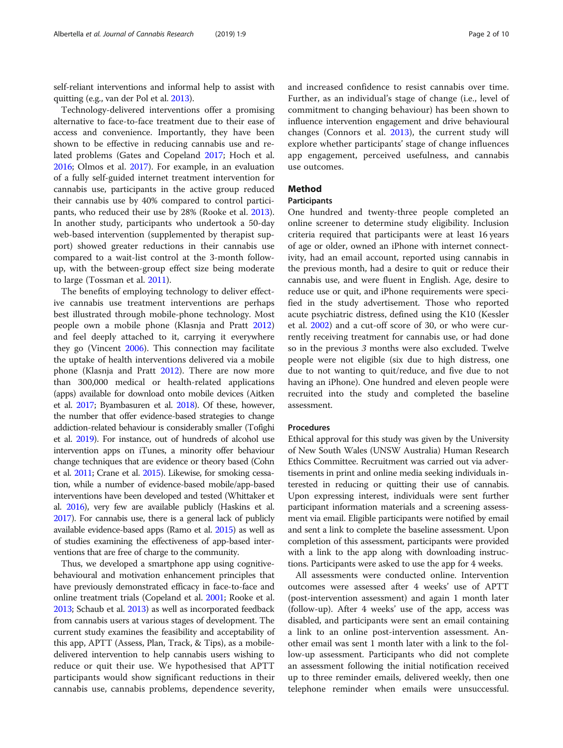self-reliant interventions and informal help to assist with quitting (e.g., van der Pol et al. [2013](#page-9-0)).

Technology-delivered interventions offer a promising alternative to face-to-face treatment due to their ease of access and convenience. Importantly, they have been shown to be effective in reducing cannabis use and related problems (Gates and Copeland [2017](#page-8-0); Hoch et al. [2016](#page-9-0); Olmos et al. [2017\)](#page-9-0). For example, in an evaluation of a fully self-guided internet treatment intervention for cannabis use, participants in the active group reduced their cannabis use by 40% compared to control participants, who reduced their use by 28% (Rooke et al. [2013](#page-9-0)). In another study, participants who undertook a 50-day web-based intervention (supplemented by therapist support) showed greater reductions in their cannabis use compared to a wait-list control at the 3-month followup, with the between-group effect size being moderate to large (Tossman et al. [2011](#page-9-0)).

The benefits of employing technology to deliver effective cannabis use treatment interventions are perhaps best illustrated through mobile-phone technology. Most people own a mobile phone (Klasnja and Pratt [2012](#page-9-0)) and feel deeply attached to it, carrying it everywhere they go (Vincent [2006](#page-9-0)). This connection may facilitate the uptake of health interventions delivered via a mobile phone (Klasnja and Pratt [2012\)](#page-9-0). There are now more than 300,000 medical or health-related applications (apps) available for download onto mobile devices (Aitken et al. [2017;](#page-8-0) Byambasuren et al. [2018\)](#page-8-0). Of these, however, the number that offer evidence-based strategies to change addiction-related behaviour is considerably smaller (Tofighi et al. [2019](#page-9-0)). For instance, out of hundreds of alcohol use intervention apps on iTunes, a minority offer behaviour change techniques that are evidence or theory based (Cohn et al. [2011](#page-8-0); Crane et al. [2015](#page-8-0)). Likewise, for smoking cessation, while a number of evidence-based mobile/app-based interventions have been developed and tested (Whittaker et al. [2016](#page-9-0)), very few are available publicly (Haskins et al. [2017\)](#page-9-0). For cannabis use, there is a general lack of publicly available evidence-based apps (Ramo et al. [2015\)](#page-9-0) as well as of studies examining the effectiveness of app-based interventions that are free of charge to the community.

Thus, we developed a smartphone app using cognitivebehavioural and motivation enhancement principles that have previously demonstrated efficacy in face-to-face and online treatment trials (Copeland et al. [2001](#page-8-0); Rooke et al. [2013;](#page-9-0) Schaub et al. [2013](#page-9-0)) as well as incorporated feedback from cannabis users at various stages of development. The current study examines the feasibility and acceptability of this app, APTT (Assess, Plan, Track, & Tips), as a mobiledelivered intervention to help cannabis users wishing to reduce or quit their use. We hypothesised that APTT participants would show significant reductions in their cannabis use, cannabis problems, dependence severity, and increased confidence to resist cannabis over time. Further, as an individual's stage of change (i.e., level of commitment to changing behaviour) has been shown to influence intervention engagement and drive behavioural changes (Connors et al. [2013](#page-8-0)), the current study will explore whether participants' stage of change influences app engagement, perceived usefulness, and cannabis use outcomes.

## Method

## Participants

One hundred and twenty-three people completed an online screener to determine study eligibility. Inclusion criteria required that participants were at least 16 years of age or older, owned an iPhone with internet connectivity, had an email account, reported using cannabis in the previous month, had a desire to quit or reduce their cannabis use, and were fluent in English. Age, desire to reduce use or quit, and iPhone requirements were specified in the study advertisement. Those who reported acute psychiatric distress, defined using the K10 (Kessler et al. [2002](#page-9-0)) and a cut-off score of 30, or who were currently receiving treatment for cannabis use, or had done so in the previous 3 months were also excluded. Twelve people were not eligible (six due to high distress, one due to not wanting to quit/reduce, and five due to not having an iPhone). One hundred and eleven people were recruited into the study and completed the baseline assessment.

## Procedures

Ethical approval for this study was given by the University of New South Wales (UNSW Australia) Human Research Ethics Committee. Recruitment was carried out via advertisements in print and online media seeking individuals interested in reducing or quitting their use of cannabis. Upon expressing interest, individuals were sent further participant information materials and a screening assessment via email. Eligible participants were notified by email and sent a link to complete the baseline assessment. Upon completion of this assessment, participants were provided with a link to the app along with downloading instructions. Participants were asked to use the app for 4 weeks.

All assessments were conducted online. Intervention outcomes were assessed after 4 weeks' use of APTT (post-intervention assessment) and again 1 month later (follow-up). After 4 weeks' use of the app, access was disabled, and participants were sent an email containing a link to an online post-intervention assessment. Another email was sent 1 month later with a link to the follow-up assessment. Participants who did not complete an assessment following the initial notification received up to three reminder emails, delivered weekly, then one telephone reminder when emails were unsuccessful.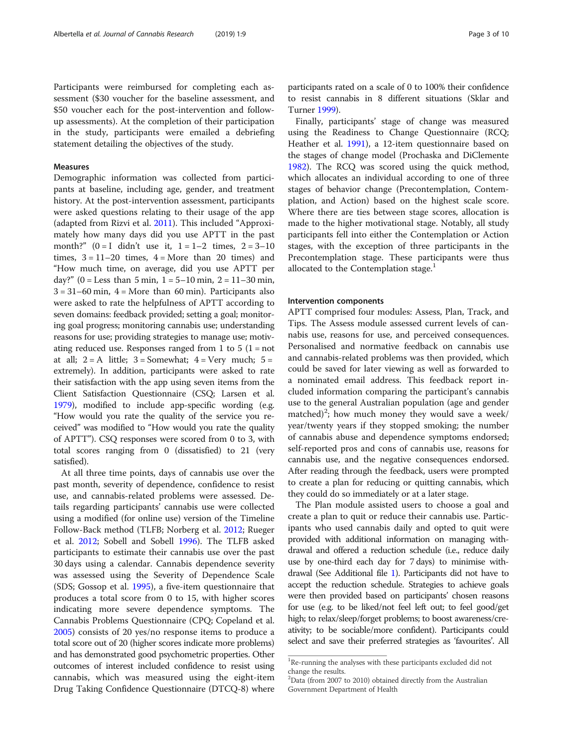Participants were reimbursed for completing each assessment (\$30 voucher for the baseline assessment, and \$50 voucher each for the post-intervention and followup assessments). At the completion of their participation in the study, participants were emailed a debriefing statement detailing the objectives of the study.

## Measures

Demographic information was collected from participants at baseline, including age, gender, and treatment history. At the post-intervention assessment, participants were asked questions relating to their usage of the app (adapted from Rizvi et al. [2011](#page-9-0)). This included "Approximately how many days did you use APTT in the past month?"  $(0 = I \text{ didn't use it, } 1 = 1 - 2 \text{ times, } 2 = 3 - 10$ times,  $3 = 11-20$  times,  $4 =$ More than 20 times) and "How much time, on average, did you use APTT per day?" (0 = Less than 5 min,  $1 = 5-10$  min,  $2 = 11-30$  min,  $3 = 31-60$  min,  $4 =$  More than 60 min). Participants also were asked to rate the helpfulness of APTT according to seven domains: feedback provided; setting a goal; monitoring goal progress; monitoring cannabis use; understanding reasons for use; providing strategies to manage use; motivating reduced use. Responses ranged from 1 to 5 ( $1 = not$ ) at all;  $2 = A$  little;  $3 =$  Somewhat;  $4 =$  Very much;  $5 =$ extremely). In addition, participants were asked to rate their satisfaction with the app using seven items from the Client Satisfaction Questionnaire (CSQ; Larsen et al. [1979\)](#page-9-0), modified to include app-specific wording (e.g. "How would you rate the quality of the service you received" was modified to "How would you rate the quality of APTT"). CSQ responses were scored from 0 to 3, with total scores ranging from 0 (dissatisfied) to 21 (very satisfied).

At all three time points, days of cannabis use over the past month, severity of dependence, confidence to resist use, and cannabis-related problems were assessed. Details regarding participants' cannabis use were collected using a modified (for online use) version of the Timeline Follow-Back method (TLFB; Norberg et al. [2012;](#page-9-0) Rueger et al. [2012;](#page-9-0) Sobell and Sobell [1996\)](#page-9-0). The TLFB asked participants to estimate their cannabis use over the past 30 days using a calendar. Cannabis dependence severity was assessed using the Severity of Dependence Scale (SDS; Gossop et al. [1995](#page-8-0)), a five-item questionnaire that produces a total score from 0 to 15, with higher scores indicating more severe dependence symptoms. The Cannabis Problems Questionnaire (CPQ; Copeland et al. [2005](#page-8-0)) consists of 20 yes/no response items to produce a total score out of 20 (higher scores indicate more problems) and has demonstrated good psychometric properties. Other outcomes of interest included confidence to resist using cannabis, which was measured using the eight-item Drug Taking Confidence Questionnaire (DTCQ-8) where

participants rated on a scale of 0 to 100% their confidence to resist cannabis in 8 different situations (Sklar and Turner [1999](#page-9-0)).

Finally, participants' stage of change was measured using the Readiness to Change Questionnaire (RCQ; Heather et al. [1991\)](#page-9-0), a 12-item questionnaire based on the stages of change model (Prochaska and DiClemente [1982](#page-9-0)). The RCQ was scored using the quick method, which allocates an individual according to one of three stages of behavior change (Precontemplation, Contemplation, and Action) based on the highest scale score. Where there are ties between stage scores, allocation is made to the higher motivational stage. Notably, all study participants fell into either the Contemplation or Action stages, with the exception of three participants in the Precontemplation stage. These participants were thus allocated to the Contemplation stage. $<sup>1</sup>$ </sup>

#### Intervention components

APTT comprised four modules: Assess, Plan, Track, and Tips. The Assess module assessed current levels of cannabis use, reasons for use, and perceived consequences. Personalised and normative feedback on cannabis use and cannabis-related problems was then provided, which could be saved for later viewing as well as forwarded to a nominated email address. This feedback report included information comparing the participant's cannabis use to the general Australian population (age and gender matched)<sup>2</sup>; how much money they would save a week/ year/twenty years if they stopped smoking; the number of cannabis abuse and dependence symptoms endorsed; self-reported pros and cons of cannabis use, reasons for cannabis use, and the negative consequences endorsed. After reading through the feedback, users were prompted to create a plan for reducing or quitting cannabis, which they could do so immediately or at a later stage.

The Plan module assisted users to choose a goal and create a plan to quit or reduce their cannabis use. Participants who used cannabis daily and opted to quit were provided with additional information on managing withdrawal and offered a reduction schedule (i.e., reduce daily use by one-third each day for 7 days) to minimise withdrawal (See Additional file [1](#page-8-0)). Participants did not have to accept the reduction schedule. Strategies to achieve goals were then provided based on participants' chosen reasons for use (e.g. to be liked/not feel left out; to feel good/get high; to relax/sleep/forget problems; to boost awareness/creativity; to be sociable/more confident). Participants could select and save their preferred strategies as 'favourites'. All

<sup>&</sup>lt;sup>1</sup>Re-running the analyses with these participants excluded did not change the results. <sup>2</sup>Data (from 2007 to 2010) obtained directly from the Australian

Government Department of Health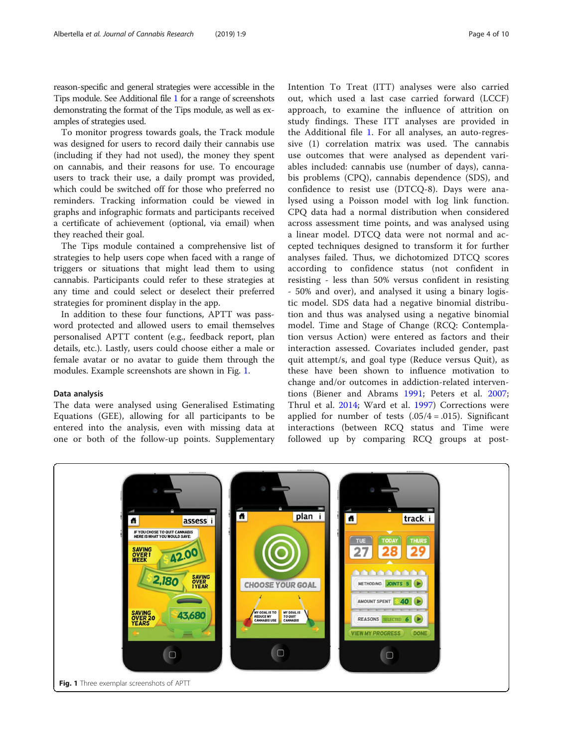reason-specific and general strategies were accessible in the Tips module. See Additional file [1](#page-8-0) for a range of screenshots demonstrating the format of the Tips module, as well as examples of strategies used.

To monitor progress towards goals, the Track module was designed for users to record daily their cannabis use (including if they had not used), the money they spent on cannabis, and their reasons for use. To encourage users to track their use, a daily prompt was provided, which could be switched off for those who preferred no reminders. Tracking information could be viewed in graphs and infographic formats and participants received a certificate of achievement (optional, via email) when they reached their goal.

The Tips module contained a comprehensive list of strategies to help users cope when faced with a range of triggers or situations that might lead them to using cannabis. Participants could refer to these strategies at any time and could select or deselect their preferred strategies for prominent display in the app.

In addition to these four functions, APTT was password protected and allowed users to email themselves personalised APTT content (e.g., feedback report, plan details, etc.). Lastly, users could choose either a male or female avatar or no avatar to guide them through the modules. Example screenshots are shown in Fig. 1.

#### Data analysis

The data were analysed using Generalised Estimating Equations (GEE), allowing for all participants to be entered into the analysis, even with missing data at one or both of the follow-up points. Supplementary Intention To Treat (ITT) analyses were also carried out, which used a last case carried forward (LCCF) approach, to examine the influence of attrition on study findings. These ITT analyses are provided in the Additional file [1](#page-8-0). For all analyses, an auto-regressive (1) correlation matrix was used. The cannabis use outcomes that were analysed as dependent variables included: cannabis use (number of days), cannabis problems (CPQ), cannabis dependence (SDS), and confidence to resist use (DTCQ-8). Days were analysed using a Poisson model with log link function. CPQ data had a normal distribution when considered across assessment time points, and was analysed using a linear model. DTCQ data were not normal and accepted techniques designed to transform it for further analyses failed. Thus, we dichotomized DTCQ scores according to confidence status (not confident in resisting - less than 50% versus confident in resisting - 50% and over), and analysed it using a binary logistic model. SDS data had a negative binomial distribution and thus was analysed using a negative binomial model. Time and Stage of Change (RCQ: Contemplation versus Action) were entered as factors and their interaction assessed. Covariates included gender, past quit attempt/s, and goal type (Reduce versus Quit), as these have been shown to influence motivation to change and/or outcomes in addiction-related interventions (Biener and Abrams [1991](#page-8-0); Peters et al. [2007](#page-9-0); Thrul et al. [2014](#page-9-0); Ward et al. [1997](#page-9-0)) Corrections were applied for number of tests  $(.05/4=.015)$ . Significant interactions (between RCQ status and Time were followed up by comparing RCQ groups at post-

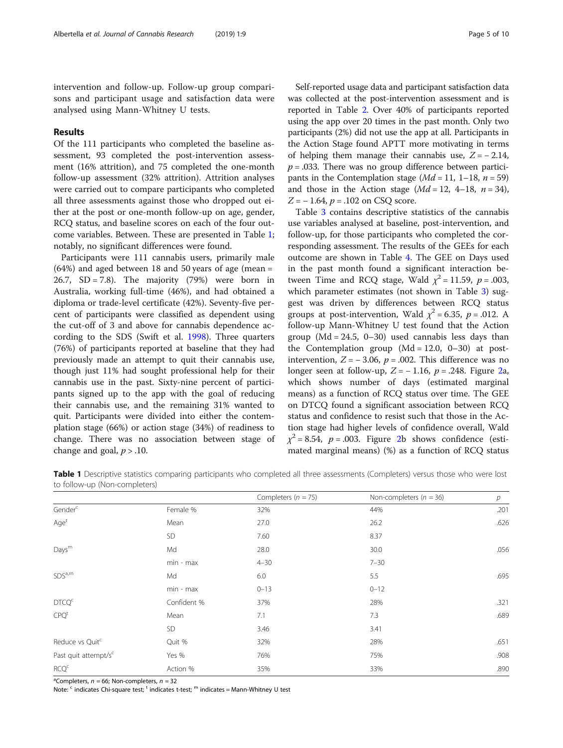intervention and follow-up. Follow-up group comparisons and participant usage and satisfaction data were analysed using Mann-Whitney U tests.

## Results

Of the 111 participants who completed the baseline assessment, 93 completed the post-intervention assessment (16% attrition), and 75 completed the one-month follow-up assessment (32% attrition). Attrition analyses were carried out to compare participants who completed all three assessments against those who dropped out either at the post or one-month follow-up on age, gender, RCQ status, and baseline scores on each of the four outcome variables. Between. These are presented in Table 1; notably, no significant differences were found.

Participants were 111 cannabis users, primarily male  $(64%)$  and aged between 18 and 50 years of age (mean = 26.7,  $SD = 7.8$ ). The majority (79%) were born in Australia, working full-time (46%), and had obtained a diploma or trade-level certificate (42%). Seventy-five percent of participants were classified as dependent using the cut-off of 3 and above for cannabis dependence according to the SDS (Swift et al. [1998](#page-9-0)). Three quarters (76%) of participants reported at baseline that they had previously made an attempt to quit their cannabis use, though just 11% had sought professional help for their cannabis use in the past. Sixty-nine percent of participants signed up to the app with the goal of reducing their cannabis use, and the remaining 31% wanted to quit. Participants were divided into either the contemplation stage (66%) or action stage (34%) of readiness to change. There was no association between stage of change and goal,  $p > .10$ .

Self-reported usage data and participant satisfaction data was collected at the post-intervention assessment and is reported in Table [2](#page-5-0). Over 40% of participants reported using the app over 20 times in the past month. Only two participants (2%) did not use the app at all. Participants in the Action Stage found APTT more motivating in terms of helping them manage their cannabis use,  $Z = -2.14$ ,  $p = 0.033$ . There was no group difference between participants in the Contemplation stage  $(Md = 11, 1-18, n = 59)$ and those in the Action stage  $(Md = 12, 4-18, n = 34)$ ,  $Z = -1.64$ ,  $p = .102$  on CSQ score.

Table [3](#page-6-0) contains descriptive statistics of the cannabis use variables analysed at baseline, post-intervention, and follow-up, for those participants who completed the corresponding assessment. The results of the GEEs for each outcome are shown in Table [4](#page-6-0). The GEE on Days used in the past month found a significant interaction between Time and RCQ stage, Wald  $\chi^2$  = 11.59, p = .003, which parameter estimates (not shown in Table [3](#page-6-0)) suggest was driven by differences between RCQ status groups at post-intervention, Wald  $\chi^2$  = 6.35, p = .012. A follow-up Mann-Whitney U test found that the Action group  $(Md = 24.5, 0-30)$  used cannabis less days than the Contemplation group  $(Md = 12.0, 0-30)$  at postintervention,  $Z = -3.06$ ,  $p = .002$ . This difference was no longer seen at follow-up,  $Z = -1.16$ ,  $p = .248$  $p = .248$  $p = .248$ . Figure 2a, which shows number of days (estimated marginal means) as a function of RCQ status over time. The GEE on DTCQ found a significant association between RCQ status and confidence to resist such that those in the Action stage had higher levels of confidence overall, Wald  $\chi^2$  = 8.54, p = .003. Figure [2b](#page-6-0) shows confidence (estimated marginal means) (%) as a function of RCQ status

Table 1 Descriptive statistics comparing participants who completed all three assessments (Completers) versus those who were lost to follow-up (Non-completers)

|                                  |             | Completers ( $n = 75$ ) | Non-completers ( $n = 36$ ) | $\overline{p}$ |
|----------------------------------|-------------|-------------------------|-----------------------------|----------------|
| Gender <sup>c</sup>              | Female %    | 32%                     | 44%                         | .201           |
| Age <sup>t</sup>                 | Mean        | 27.0                    | 26.2                        | .626           |
|                                  | <b>SD</b>   | 7.60                    | 8.37                        |                |
| Days <sup>m</sup>                | Md          | 28.0                    | 30.0                        | .056           |
|                                  | min - max   | $4 - 30$                | $7 - 30$                    |                |
| SDS <sup>a,m</sup>               | Md          | 6.0                     | 5.5                         | .695           |
|                                  | min - max   | $0 - 13$                | $0 - 12$                    |                |
| DTCQ <sup>c</sup>                | Confident % | 37%                     | 28%                         | .321           |
| CPQ <sup>t</sup>                 | Mean        | 7.1                     | 7.3                         | .689           |
|                                  | <b>SD</b>   | 3.46                    | 3.41                        |                |
| Reduce vs Quitc                  | Quit %      | 32%                     | 28%                         | .651           |
| Past quit attempt/s <sup>c</sup> | Yes %       | 76%                     | 75%                         | .908           |
| RCQ <sup>c</sup>                 | Action %    | 35%                     | 33%                         | .890           |

<sup>a</sup>Completers,  $n = 66$ ; Non-completers,  $n = 32$ 

Note:  $\epsilon$  indicates Chi-square test;  $\epsilon$  indicates t-test;  $\epsilon$  indicates = Mann-Whitney U test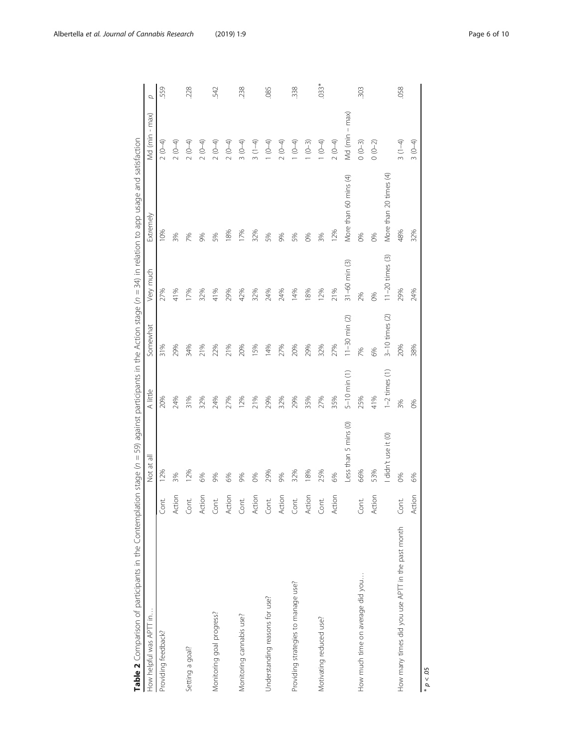<span id="page-5-0"></span>

| Table 2 Comparison of participants in the Contemplation stage (n = 59) against participants in the Action stage (n = 34) in relation to app usage and satisfaction |        |                      |                    |                     |                     |                        |                     |        |
|--------------------------------------------------------------------------------------------------------------------------------------------------------------------|--------|----------------------|--------------------|---------------------|---------------------|------------------------|---------------------|--------|
| How helpful was APTT in                                                                                                                                            |        | Not at all           | A little           | Somewhat            | Very much           | Extremely              | Md (min - max)      | Q      |
| Providing feedback?                                                                                                                                                | Cont.  | 12%                  | 20%                | 31%                 | 27%                 | 10%                    | $2(0-4)$            | 559    |
|                                                                                                                                                                    | Action | 3%                   | 24%                | 29%                 | 41%                 | 3%                     | $2(0-4)$            |        |
| Setting a goal?                                                                                                                                                    | Cont.  | 12%                  | 31%                | 34%                 | 17%                 | 7%                     | $2(0-4)$            | .228   |
|                                                                                                                                                                    | Action | 6%                   | 32%                | 21%                 | 32%                 | 9%                     | $2(0-4)$            |        |
| Monitoring goal progress?                                                                                                                                          | Cont.  | 9%                   | 24%                | 22%                 | 41%                 | 5%                     | $2(0-4)$            | 542    |
|                                                                                                                                                                    | Action | 6%                   | 27%                | 21%                 | 29%                 | 18%                    | $2(0-4)$            |        |
| Monitoring cannabis use?                                                                                                                                           | Cont.  | 9%                   | 12%                | 20%                 | 42%                 | 17%                    | $3(0-4)$            | 238    |
|                                                                                                                                                                    | Action | 0%                   | 21%                | 15%                 | 32%                 | 32%                    | $3(1-4)$            |        |
| Understanding reasons for use?                                                                                                                                     | Cont.  | 29%                  | 29%                | 14%                 | 24%                 | 5%                     | $(0-4)$             | .085   |
|                                                                                                                                                                    | Action | 9%                   | 32%                | 27%                 | 24%                 | 9%                     | $2(0-4)$            |        |
| Providing strategies to manage use?                                                                                                                                | Cont.  | 32%                  | 29%                | 20%                 | 14%                 | 5%                     | $(0-4)$             | 338    |
|                                                                                                                                                                    | Action | 18%                  | 35%                | 29%                 | 18%                 | 8%                     | $1 (0-3)$           |        |
| Motivating reduced use?                                                                                                                                            | Cont.  | 25%                  | 27%                | 32%                 | 12%                 | 3%                     | $(0-4)$             | $033*$ |
|                                                                                                                                                                    | Action | 6%                   | 35%                | 27%                 | 21%                 | 12%                    | $2(0-4)$            |        |
|                                                                                                                                                                    |        | Less than 5 mins (0) | $5 - 10$ min $(1)$ | $11 - 30$ min $(2)$ | $31 - 60$ min $(3)$ | More than 60 mins (4)  | $-$ max)<br>Md (min |        |
| How much time on average did you                                                                                                                                   | Cont.  | 66%                  | 25%                | 7%                  | 2%                  | 0%                     | $0(0-3)$            | 303    |
|                                                                                                                                                                    | Action | 53%                  | 41%                | 6%                  | 0%                  | 0%                     | $0(0-2)$            |        |
|                                                                                                                                                                    |        | I didn't use it (0)  | $1-2$ times $(1)$  | $3-10$ times $(2)$  | $11-20$ times $(3)$ | More than 20 times (4) |                     |        |
| How many times did you use APTT in the past month                                                                                                                  | Cont.  | 0%                   | 3%                 | 20%                 | 29%                 | 48%                    | $3(1-4)$            | 058    |
|                                                                                                                                                                    | Action | 6%                   | 0%                 | 38%                 | 24%                 | 32%                    | $3(0-4)$            |        |

 $p < 05$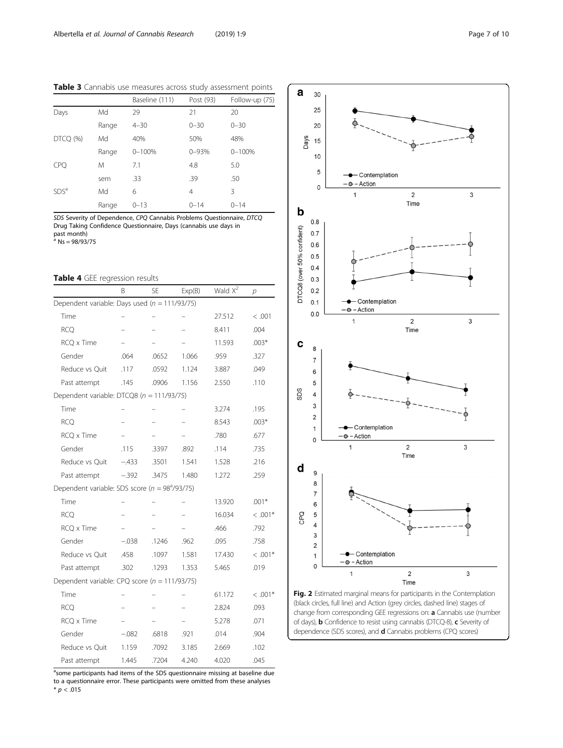<span id="page-6-0"></span>Table 3 Cannabis use measures across study assessment points

 $\mathbf a$ 30 25

|                  |       | Baseline (111) | Post (93) | Follow-up (75) |
|------------------|-------|----------------|-----------|----------------|
| Days             | Md    | 29             | 21        | 20             |
|                  | Range | $4 - 30$       | $0 - 30$  | $0 - 30$       |
| DTCQ (%)         | Md    | 40%            | 50%       | 48%            |
|                  | Range | $0 - 100%$     | $0 - 93%$ | $0 - 100%$     |
| <b>CPQ</b>       | M     | 7.1            | 4.8       | 5.0            |
|                  | sem   | .33            | .39       | .50            |
| SDS <sup>a</sup> | Md    | 6              | 4         | 3              |
|                  | Range | $0 - 13$       | $0 - 14$  | $0 - 14$       |

SDS Severity of Dependence, CPQ Cannabis Problems Questionnaire, DTCQ Drug Taking Confidence Questionnaire, Days (cannabis use days in past month)<br><sup>a</sup> Ns = 98/93/75

## Table 4 GEE regression results

|                                                   | Β       | <b>SE</b> | Exp(B) | Wald $X^2$ | р         |
|---------------------------------------------------|---------|-----------|--------|------------|-----------|
| Dependent variable: Days used ( $n = 111/93/75$ ) |         |           |        |            |           |
| Time                                              |         |           |        | 27.512     | < .001    |
| <b>RCQ</b>                                        |         |           |        | 8.411      | .004      |
| RCQ x Time                                        |         |           |        | 11.593     | $.003*$   |
| Gender                                            | .064    | .0652     | 1.066  | .959       | .327      |
| Reduce vs Quit                                    | .117    | .0592     | 1.124  | 3.887      | .049      |
| Past attempt                                      | .145    | .0906     | 1.156  | 2.550      | .110      |
| Dependent variable: DTCQ8 ( $n = 111/93/75$ )     |         |           |        |            |           |
| Time                                              |         |           |        | 3.274      | .195      |
| <b>RCQ</b>                                        |         |           |        | 8.543      | $.003*$   |
| RCQ x Time                                        |         |           |        | .780       | .677      |
| Gender                                            | .115    | .3397     | .892   | .114       | .735      |
| Reduce vs Quit                                    | $-.433$ | .3501     | 1.541  | 1.528      | .216      |
| Past attempt                                      | $-.392$ | .3475     | 1.480  | 1.272      | .259      |
| Dependent variable: SDS score ( $n = 983/93/75$ ) |         |           |        |            |           |
| Time                                              |         |           |        | 13.920     | $.001*$   |
| <b>RCQ</b>                                        |         |           |        | 16.034     | $< .001*$ |
| RCQ x Time                                        |         |           |        | .466       | .792      |
| Gender                                            | $-.038$ | .1246     | .962   | .095       | .758      |
| Reduce vs Quit                                    | .458    | .1097     | 1.581  | 17.430     | $< .001*$ |
| Past attempt                                      | .302    | .1293     | 1.353  | 5.465      | .019      |
| Dependent variable: CPQ score ( $n = 111/93/75$ ) |         |           |        |            |           |
| Time                                              |         |           |        | 61.172     | $<.001*$  |
| <b>RCQ</b>                                        |         |           |        | 2.824      | .093      |
| <b>RCQ x Time</b>                                 |         |           |        | 5.278      | .071      |
| Gender                                            | $-.082$ | .6818     | .921   | .014       | .904      |
| Reduce vs Quit                                    | 1.159   | .7092     | 3.185  | 2.669      | .102      |
| Past attempt                                      | 1.445   | .7204     | 4.240  | 4.020      | .045      |

<sup>a</sup>some participants had items of the SDS questionnaire missing at baseline due to a questionnaire error. These participants were omitted from these analyses \*  $p < .015$ 





Fig. 2 Estimated marginal means for participants in the Contemplation (black circles, full line) and Action (grey circles, dashed line) stages of change from corresponding GEE regressions on: a Cannabis use (number of days), **b** Confidence to resist using cannabis (DTCQ-8), **c** Severity of dependence (SDS scores), and d Cannabis problems (CPQ scores)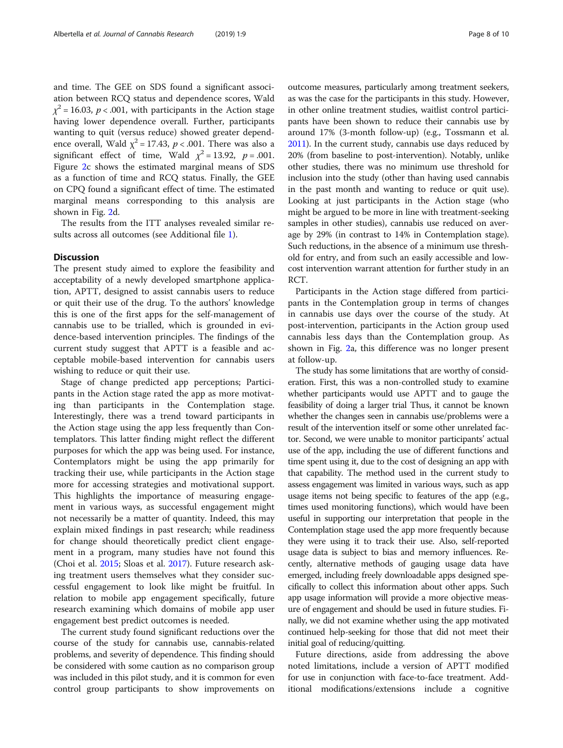and time. The GEE on SDS found a significant association between RCQ status and dependence scores, Wald  $\chi^2$  = 16.03, *p* < .001, with participants in the Action stage having lower dependence overall. Further, participants wanting to quit (versus reduce) showed greater dependence overall, Wald  $\chi^2$  = 17.43,  $p < .001$ . There was also a significant effect of time, Wald  $\chi^2 = 13.92$ ,  $p = .001$ . Figure [2c](#page-6-0) shows the estimated marginal means of SDS as a function of time and RCQ status. Finally, the GEE on CPQ found a significant effect of time. The estimated marginal means corresponding to this analysis are shown in Fig. [2](#page-6-0)d.

The results from the ITT analyses revealed similar results across all outcomes (see Additional file [1](#page-8-0)).

## **Discussion**

The present study aimed to explore the feasibility and acceptability of a newly developed smartphone application, APTT, designed to assist cannabis users to reduce or quit their use of the drug. To the authors' knowledge this is one of the first apps for the self-management of cannabis use to be trialled, which is grounded in evidence-based intervention principles. The findings of the current study suggest that APTT is a feasible and acceptable mobile-based intervention for cannabis users wishing to reduce or quit their use.

Stage of change predicted app perceptions; Participants in the Action stage rated the app as more motivating than participants in the Contemplation stage. Interestingly, there was a trend toward participants in the Action stage using the app less frequently than Contemplators. This latter finding might reflect the different purposes for which the app was being used. For instance, Contemplators might be using the app primarily for tracking their use, while participants in the Action stage more for accessing strategies and motivational support. This highlights the importance of measuring engagement in various ways, as successful engagement might not necessarily be a matter of quantity. Indeed, this may explain mixed findings in past research; while readiness for change should theoretically predict client engagement in a program, many studies have not found this (Choi et al. [2015;](#page-8-0) Sloas et al. [2017\)](#page-9-0). Future research asking treatment users themselves what they consider successful engagement to look like might be fruitful. In relation to mobile app engagement specifically, future research examining which domains of mobile app user engagement best predict outcomes is needed.

The current study found significant reductions over the course of the study for cannabis use, cannabis-related problems, and severity of dependence. This finding should be considered with some caution as no comparison group was included in this pilot study, and it is common for even control group participants to show improvements on outcome measures, particularly among treatment seekers, as was the case for the participants in this study. However, in other online treatment studies, waitlist control participants have been shown to reduce their cannabis use by around 17% (3-month follow-up) (e.g., Tossmann et al. [2011\)](#page-9-0). In the current study, cannabis use days reduced by 20% (from baseline to post-intervention). Notably, unlike other studies, there was no minimum use threshold for inclusion into the study (other than having used cannabis in the past month and wanting to reduce or quit use). Looking at just participants in the Action stage (who might be argued to be more in line with treatment-seeking samples in other studies), cannabis use reduced on average by 29% (in contrast to 14% in Contemplation stage). Such reductions, in the absence of a minimum use threshold for entry, and from such an easily accessible and lowcost intervention warrant attention for further study in an RCT.

Participants in the Action stage differed from participants in the Contemplation group in terms of changes in cannabis use days over the course of the study. At post-intervention, participants in the Action group used cannabis less days than the Contemplation group. As shown in Fig. [2a](#page-6-0), this difference was no longer present at follow-up.

The study has some limitations that are worthy of consideration. First, this was a non-controlled study to examine whether participants would use APTT and to gauge the feasibility of doing a larger trial Thus, it cannot be known whether the changes seen in cannabis use/problems were a result of the intervention itself or some other unrelated factor. Second, we were unable to monitor participants' actual use of the app, including the use of different functions and time spent using it, due to the cost of designing an app with that capability. The method used in the current study to assess engagement was limited in various ways, such as app usage items not being specific to features of the app (e.g., times used monitoring functions), which would have been useful in supporting our interpretation that people in the Contemplation stage used the app more frequently because they were using it to track their use. Also, self-reported usage data is subject to bias and memory influences. Recently, alternative methods of gauging usage data have emerged, including freely downloadable apps designed specifically to collect this information about other apps. Such app usage information will provide a more objective measure of engagement and should be used in future studies. Finally, we did not examine whether using the app motivated continued help-seeking for those that did not meet their initial goal of reducing/quitting.

Future directions, aside from addressing the above noted limitations, include a version of APTT modified for use in conjunction with face-to-face treatment. Additional modifications/extensions include a cognitive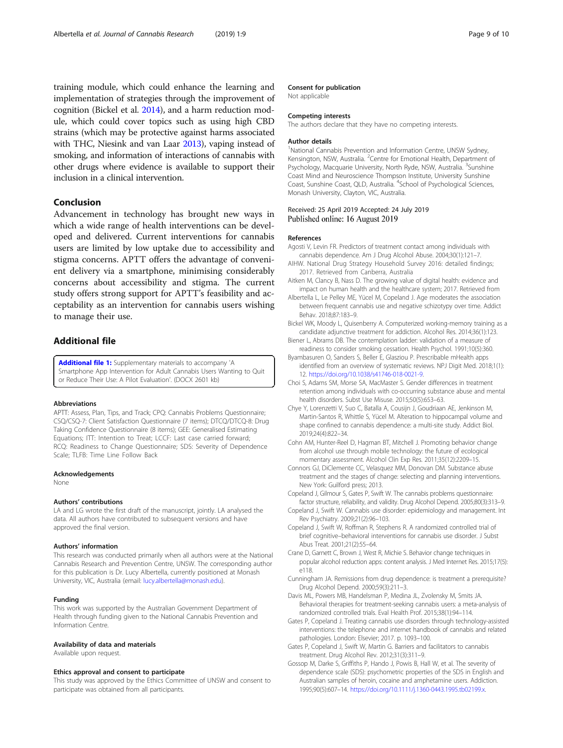<span id="page-8-0"></span>training module, which could enhance the learning and implementation of strategies through the improvement of cognition (Bickel et al. 2014), and a harm reduction module, which could cover topics such as using high CBD strains (which may be protective against harms associated with THC, Niesink and van Laar [2013\)](#page-9-0), vaping instead of smoking, and information of interactions of cannabis with other drugs where evidence is available to support their inclusion in a clinical intervention.

## Conclusion

Advancement in technology has brought new ways in which a wide range of health interventions can be developed and delivered. Current interventions for cannabis users are limited by low uptake due to accessibility and stigma concerns. APTT offers the advantage of convenient delivery via a smartphone, minimising considerably concerns about accessibility and stigma. The current study offers strong support for APTT's feasibility and acceptability as an intervention for cannabis users wishing to manage their use.

## Additional file

[Additional file 1:](https://doi.org/10.1186/s42238-019-0009-6) Supplementary materials to accompany 'A Smartphone App Intervention for Adult Cannabis Users Wanting to Quit or Reduce Their Use: A Pilot Evaluation'. (DOCX 2601 kb)

#### Abbreviations

APTT: Assess, Plan, Tips, and Track; CPQ: Cannabis Problems Questionnaire; CSQ/CSQ-7: Client Satisfaction Questionnaire (7 items); DTCQ/DTCQ-8: Drug Taking Confidence Questionnaire (8 items); GEE: Generalised Estimating Equations; ITT: Intention to Treat; LCCF: Last case carried forward; RCQ: Readiness to Change Questionnaire; SDS: Severity of Dependence Scale: TLFB: Time Line Follow Back

#### Acknowledgements

None

#### Authors' contributions

LA and LG wrote the first draft of the manuscript, jointly. LA analysed the data. All authors have contributed to subsequent versions and have approved the final version.

#### Authors' information

This research was conducted primarily when all authors were at the National Cannabis Research and Prevention Centre, UNSW. The corresponding author for this publication is Dr. Lucy Albertella, currently positioned at Monash University, VIC, Australia (email: [lucy.albertella@monash.edu](mailto:lucy.albertella@monash.edu)).

#### Funding

This work was supported by the Australian Government Department of Health through funding given to the National Cannabis Prevention and Information Centre.

#### Availability of data and materials

Available upon request.

#### Ethics approval and consent to participate

This study was approved by the Ethics Committee of UNSW and consent to participate was obtained from all participants.

#### Consent for publication

Not applicable

#### Competing interests

The authors declare that they have no competing interests.

#### Author details

<sup>1</sup>National Cannabis Prevention and Information Centre, UNSW Sydney, Kensington, NSW, Australia. <sup>2</sup> Centre for Emotional Health, Department of Psychology, Macquarie University, North Ryde, NSW, Australia. <sup>3</sup>Sunshine Coast Mind and Neuroscience Thompson Institute, University Sunshine Coast, Sunshine Coast, QLD, Australia. <sup>4</sup>School of Psychological Sciences, Monash University, Clayton, VIC, Australia.

#### Received: 25 April 2019 Accepted: 24 July 2019 Published online: 16 August 2019

#### References

- Agosti V, Levin FR. Predictors of treatment contact among individuals with cannabis dependence. Am J Drug Alcohol Abuse. 2004;30(1):121–7.
- AIHW. National Drug Strategy Household Survey 2016: detailed findings; 2017. Retrieved from Canberra, Australia
- Aitken M, Clancy B, Nass D. The growing value of digital health: evidence and impact on human health and the healthcare system; 2017. Retrieved from
- Albertella L, Le Pelley ME, Yücel M, Copeland J. Age moderates the association between frequent cannabis use and negative schizotypy over time. Addict Behav. 2018;87:183–9.
- Bickel WK, Moody L, Quisenberry A. Computerized working-memory training as a candidate adjunctive treatment for addiction. Alcohol Res. 2014;36(1):123.
- Biener L, Abrams DB. The contemplation ladder: validation of a measure of readiness to consider smoking cessation. Health Psychol. 1991;10(5):360.
- Byambasuren O, Sanders S, Beller E, Glasziou P. Prescribable mHealth apps identified from an overview of systematic reviews. NPJ Digit Med. 2018;1(1): 12. <https://doi.org/10.1038/s41746-018-0021-9>.
- Choi S, Adams SM, Morse SA, MacMaster S. Gender differences in treatment retention among individuals with co-occurring substance abuse and mental health disorders. Subst Use Misuse. 2015;50(5):653–63.
- Chye Y, Lorenzetti V, Suo C, Batalla A, Cousijn J, Goudriaan AE, Jenkinson M, Martin-Santos R, Whittle S, Yücel M. Alteration to hippocampal volume and shape confined to cannabis dependence: a multi-site study. Addict Biol. 2019;24(4):822–34.
- Cohn AM, Hunter-Reel D, Hagman BT, Mitchell J. Promoting behavior change from alcohol use through mobile technology: the future of ecological momentary assessment. Alcohol Clin Exp Res. 2011;35(12):2209–15.
- Connors GJ, DiClemente CC, Velasquez MM, Donovan DM. Substance abuse treatment and the stages of change: selecting and planning interventions. New York: Guilford press; 2013.
- Copeland J, Gilmour S, Gates P, Swift W. The cannabis problems questionnaire: factor structure, reliability, and validity. Drug Alcohol Depend. 2005;80(3):313–9.
- Copeland J, Swift W. Cannabis use disorder: epidemiology and management. Int Rev Psychiatry. 2009;21(2):96–103.
- Copeland J, Swift W, Roffman R, Stephens R. A randomized controlled trial of brief cognitive–behavioral interventions for cannabis use disorder. J Subst Abus Treat. 2001;21(2):55–64.
- Crane D, Garnett C, Brown J, West R, Michie S. Behavior change techniques in popular alcohol reduction apps: content analysis. J Med Internet Res. 2015;17(5): e118.
- Cunningham JA. Remissions from drug dependence: is treatment a prerequisite? Drug Alcohol Depend. 2000;59(3):211–3.
- Davis ML, Powers MB, Handelsman P, Medina JL, Zvolensky M, Smits JA. Behavioral therapies for treatment-seeking cannabis users: a meta-analysis of randomized controlled trials. Eval Health Prof. 2015;38(1):94–114.
- Gates P, Copeland J. Treating cannabis use disorders through technology-assisted interventions: the telephone and internet handbook of cannabis and related pathologies. London: Elsevier; 2017. p. 1093–100.
- Gates P, Copeland J, Swift W, Martin G. Barriers and facilitators to cannabis treatment. Drug Alcohol Rev. 2012;31(3):311–9.
- Gossop M, Darke S, Griffiths P, Hando J, Powis B, Hall W, et al. The severity of dependence scale (SDS): psychometric properties of the SDS in English and Australian samples of heroin, cocaine and amphetamine users. Addiction. 1995;90(5):607–14. <https://doi.org/10.1111/j.1360-0443.1995.tb02199.x>.